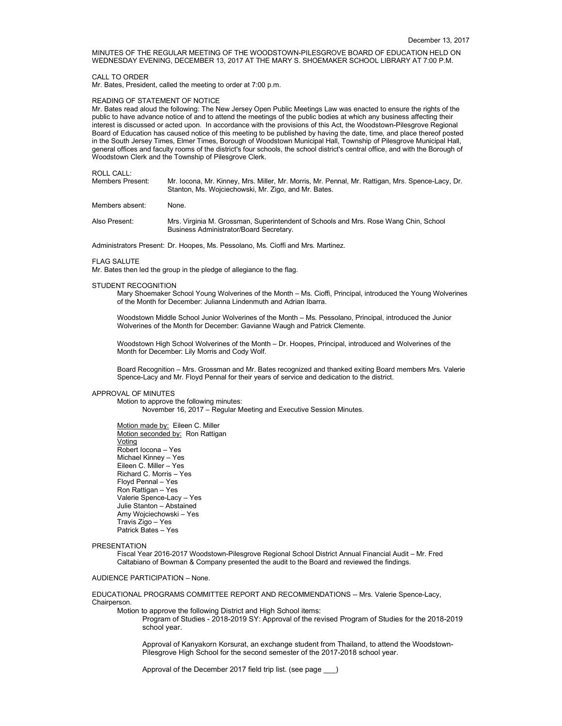MINUTES OF THE REGULAR MEETING OF THE WOODSTOWN-PILESGROVE BOARD OF EDUCATION HELD ON WEDNESDAY EVENING, DECEMBER 13, 2017 AT THE MARY S. SHOEMAKER SCHOOL LIBRARY AT 7:00 P.M.

#### CALL TO ORDER

Mr. Bates, President, called the meeting to order at 7:00 p.m.

## READING OF STATEMENT OF NOTICE

Mr. Bates read aloud the following: The New Jersey Open Public Meetings Law was enacted to ensure the rights of the public to have advance notice of and to attend the meetings of the public bodies at which any business affecting their interest is discussed or acted upon. In accordance with the provisions of this Act, the Woodstown-Pilesgrove Regional Board of Education has caused notice of this meeting to be published by having the date, time, and place thereof posted in the South Jersey Times, Elmer Times, Borough of Woodstown Municipal Hall, Township of Pilesgrove Municipal Hall, general offices and faculty rooms of the district's four schools, the school district's central office, and with the Borough of Woodstown Clerk and the Township of Pilesgrove Clerk.

#### ROLL CALL:

| Members Present: | Mr. Iocona, Mr. Kinney, Mrs. Miller, Mr. Morris, Mr. Pennal, Mr. Rattigan, Mrs. Spence-Lacy, Dr. |
|------------------|--------------------------------------------------------------------------------------------------|
|                  | Stanton, Ms. Wojciechowski, Mr. Zigo, and Mr. Bates.                                             |

Members absent: None.

Also Present: Mrs. Virginia M. Grossman, Superintendent of Schools and Mrs. Rose Wang Chin, School Business Administrator/Board Secretary.

Administrators Present: Dr. Hoopes, Ms. Pessolano, Ms. Cioffi and Mrs. Martinez.

## FLAG SALUTE

Mr. Bates then led the group in the pledge of allegiance to the flag.

#### STUDENT RECOGNITION

Mary Shoemaker School Young Wolverines of the Month – Ms. Cioffi, Principal, introduced the Young Wolverines of the Month for December: Julianna Lindenmuth and Adrian Ibarra.

Woodstown Middle School Junior Wolverines of the Month – Ms. Pessolano, Principal, introduced the Junior Wolverines of the Month for December: Gavianne Waugh and Patrick Clemente.

Woodstown High School Wolverines of the Month – Dr. Hoopes, Principal, introduced and Wolverines of the Month for December: Lily Morris and Cody Wolf.

Board Recognition – Mrs. Grossman and Mr. Bates recognized and thanked exiting Board members Mrs. Valerie Spence-Lacy and Mr. Floyd Pennal for their years of service and dedication to the district.

## APPROVAL OF MINUTES

Motion to approve the following minutes: November 16, 2017 – Regular Meeting and Executive Session Minutes.

Motion made by: Eileen C. Miller Motion seconded by: Ron Rattigan Voting Robert Iocona – Yes Michael Kinney – Yes Eileen C. Miller – Yes Richard C. Morris – Yes Floyd Pennal – Yes Ron Rattigan – Yes Valerie Spence-Lacy – Yes Julie Stanton – Abstained Amy Wojciechowski – Yes Travis Zigo – Yes Patrick Bates – Yes

#### **PRESENTATION**

Fiscal Year 2016-2017 Woodstown-Pilesgrove Regional School District Annual Financial Audit – Mr. Fred Caltabiano of Bowman & Company presented the audit to the Board and reviewed the findings.

## AUDIENCE PARTICIPATION – None.

EDUCATIONAL PROGRAMS COMMITTEE REPORT AND RECOMMENDATIONS -- Mrs. Valerie Spence-Lacy, Chairperson.

Motion to approve the following District and High School items:

Program of Studies - 2018-2019 SY: Approval of the revised Program of Studies for the 2018-2019 school year.

Approval of Kanyakorn Korsurat, an exchange student from Thailand, to attend the Woodstown-Pilesgrove High School for the second semester of the 2017-2018 school year.

Approval of the December 2017 field trip list. (see page \_\_\_)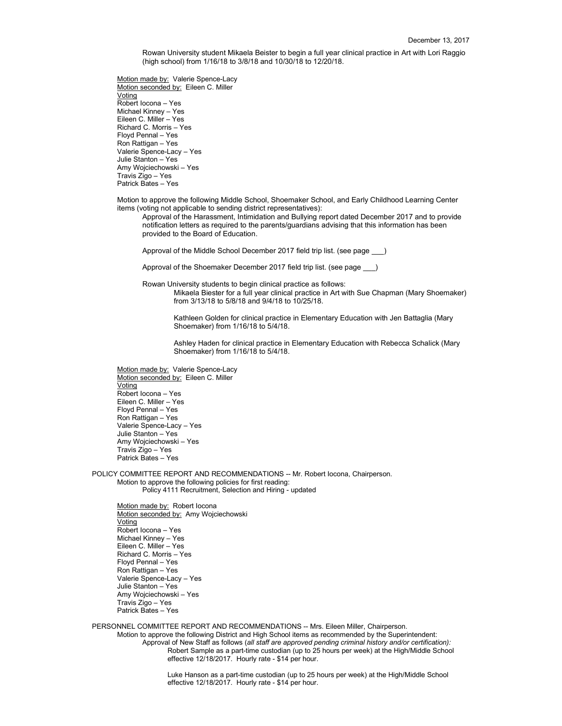Rowan University student Mikaela Beister to begin a full year clinical practice in Art with Lori Raggio (high school) from 1/16/18 to 3/8/18 and 10/30/18 to 12/20/18.

Motion made by: Valerie Spence-Lacy Motion seconded by: Eileen C. Miller Voting Robert Iocona – Yes Michael Kinney – Yes Eileen C. Miller – Yes Richard C. Morris – Yes Floyd Pennal – Yes Ron Rattigan – Yes Valerie Spence-Lacy – Yes Julie Stanton – Yes Amy Wojciechowski – Yes Travis Zigo – Yes Patrick Bates – Yes

Motion to approve the following Middle School, Shoemaker School, and Early Childhood Learning Center items (voting not applicable to sending district representatives):

Approval of the Harassment, Intimidation and Bullying report dated December 2017 and to provide notification letters as required to the parents/guardians advising that this information has been provided to the Board of Education.

Approval of the Middle School December 2017 field trip list. (see page \_\_\_)

Approval of the Shoemaker December 2017 field trip list. (see page \_\_\_)

Rowan University students to begin clinical practice as follows:

Mikaela Biester for a full year clinical practice in Art with Sue Chapman (Mary Shoemaker) from 3/13/18 to 5/8/18 and 9/4/18 to 10/25/18.

Kathleen Golden for clinical practice in Elementary Education with Jen Battaglia (Mary Shoemaker) from 1/16/18 to 5/4/18.

Ashley Haden for clinical practice in Elementary Education with Rebecca Schalick (Mary Shoemaker) from 1/16/18 to 5/4/18.

Motion made by: Valerie Spence-Lacy Motion seconded by: Eileen C. Miller Voting Robert Iocona – Yes Eileen C. Miller – Yes Floyd Pennal – Yes Ron Rattigan – Yes Valerie Spence-Lacy – Yes Julie Stanton – Yes Amy Wojciechowski – Yes Travis Zigo – Yes Patrick Bates – Yes

POLICY COMMITTEE REPORT AND RECOMMENDATIONS -- Mr. Robert Iocona, Chairperson. Motion to approve the following policies for first reading: Policy 4111 Recruitment, Selection and Hiring - updated

Motion made by: Robert locona Motion seconded by: Amy Wojciechowski Voting Robert Iocona – Yes Michael Kinney – Yes Eileen C. Miller – Yes Richard C. Morris – Yes Floyd Pennal – Yes Ron Rattigan – Yes Valerie Spence-Lacy – Yes Julie Stanton – Yes Amy Wojciechowski – Yes Travis Zigo – Yes Patrick Bates – Yes

PERSONNEL COMMITTEE REPORT AND RECOMMENDATIONS -- Mrs. Eileen Miller, Chairperson.

Motion to approve the following District and High School items as recommended by the Superintendent: Approval of New Staff as follows (*all staff are approved pending criminal history and/or certification):* Robert Sample as a part-time custodian (up to 25 hours per week) at the High/Middle School effective 12/18/2017. Hourly rate - \$14 per hour.

> Luke Hanson as a part-time custodian (up to 25 hours per week) at the High/Middle School effective 12/18/2017. Hourly rate - \$14 per hour.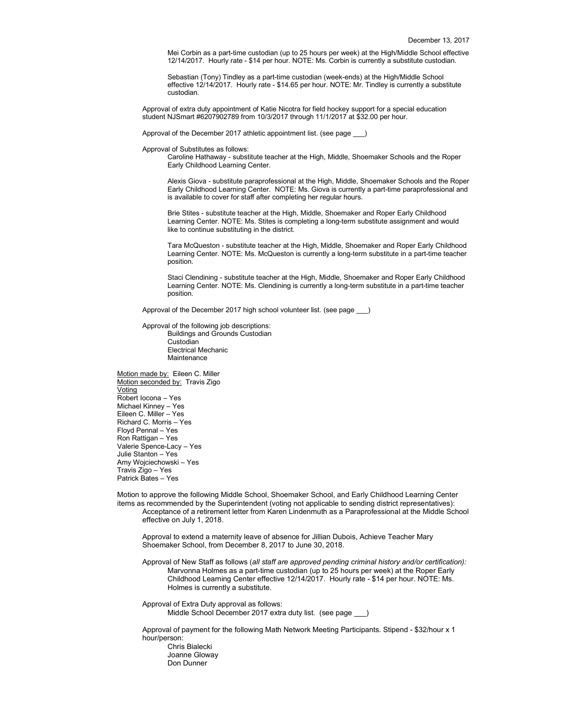Mei Corbin as a part-time custodian (up to 25 hours per week) at the High/Middle School effective 12/14/2017. Hourly rate - \$14 per hour. NOTE: Ms. Corbin is currently a substitute custodian.

Sebastian (Tony) Tindley as a part-time custodian (week-ends) at the High/Middle School effective 12/14/2017. Hourly rate - \$14.65 per hour. NOTE: Mr. Tindley is currently a substitute custodian.

Approval of extra duty appointment of Katie Nicotra for field hockey support for a special education student NJSmart #6207902789 from 10/3/2017 through 11/1/2017 at \$32.00 per hour.

Approval of the December 2017 athletic appointment list. (see page

Approval of Substitutes as follows:

Caroline Hathaway - substitute teacher at the High, Middle, Shoemaker Schools and the Roper Early Childhood Learning Center.

Alexis Giova - substitute paraprofessional at the High, Middle, Shoemaker Schools and the Roper Early Childhood Learning Center. NOTE: Ms. Giova is currently a part-time paraprofessional and is available to cover for staff after completing her regular hours.

Brie Stites - substitute teacher at the High, Middle, Shoemaker and Roper Early Childhood Learning Center. NOTE: Ms. Stites is completing a long-term substitute assignment and would like to continue substituting in the district.

Tara McQueston - substitute teacher at the High, Middle, Shoemaker and Roper Early Childhood Learning Center. NOTE: Ms. McQueston is currently a long-term substitute in a part-time teacher position.

Staci Clendining - substitute teacher at the High, Middle, Shoemaker and Roper Early Childhood Learning Center. NOTE: Ms. Clendining is currently a long-term substitute in a part-time teacher position.

Approval of the December 2017 high school volunteer list. (see page

Approval of the following job descriptions: Buildings and Grounds Custodian Custodian Electrical Mechanic Maintenance

Motion made by: Eileen C. Miller Motion seconded by: Travis Zigo Voting Robert Iocona – Yes Michael Kinney – Yes Eileen C. Miller – Yes Richard C. Morris – Yes Floyd Pennal – Yes Ron Rattigan – Yes Valerie Spence-Lacy – Yes Julie Stanton – Yes Amy Wojciechowski – Yes Travis Zigo – Yes Patrick Bates – Yes

Motion to approve the following Middle School, Shoemaker School, and Early Childhood Learning Center items as recommended by the Superintendent (voting not applicable to sending district representatives): Acceptance of a retirement letter from Karen Lindenmuth as a Paraprofessional at the Middle School effective on July 1, 2018.

Approval to extend a maternity leave of absence for Jillian Dubois, Achieve Teacher Mary Shoemaker School, from December 8, 2017 to June 30, 2018.

Approval of New Staff as follows (*all staff are approved pending criminal history and/or certification):* Marvonna Holmes as a part-time custodian (up to 25 hours per week) at the Roper Early Childhood Learning Center effective 12/14/2017. Hourly rate - \$14 per hour. NOTE: Ms. Holmes is currently a substitute.

Approval of Extra Duty approval as follows: Middle School December 2017 extra duty list. (see page )

Approval of payment for the following Math Network Meeting Participants. Stipend - \$32/hour x 1 hour/person: Chris Bialecki

Joanne Gloway Don Dunner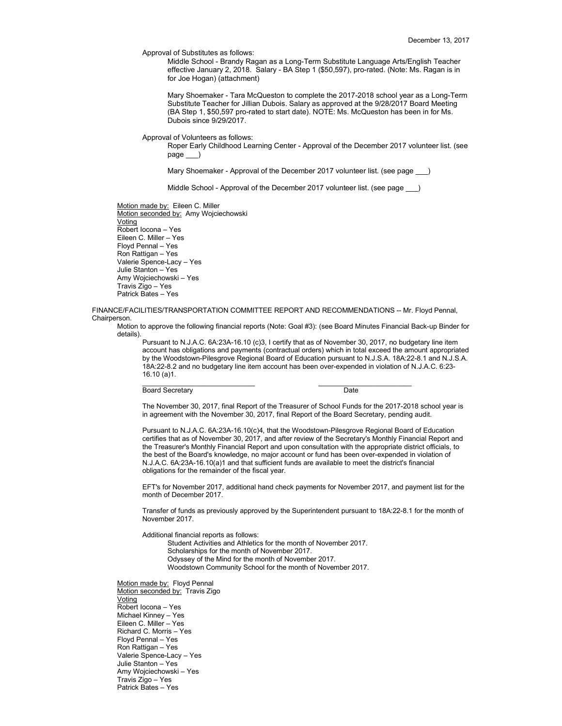Approval of Substitutes as follows:

Middle School - Brandy Ragan as a Long-Term Substitute Language Arts/English Teacher effective January 2, 2018. Salary - BA Step 1 (\$50,597), pro-rated. (Note: Ms. Ragan is in for Joe Hogan) (attachment)

Mary Shoemaker - Tara McQueston to complete the 2017-2018 school year as a Long-Term Substitute Teacher for Jillian Dubois. Salary as approved at the 9/28/2017 Board Meeting (BA Step 1, \$50,597 pro-rated to start date). NOTE: Ms. McQueston has been in for Ms. Dubois since 9/29/2017.

#### Approval of Volunteers as follows:

Roper Early Childhood Learning Center - Approval of the December 2017 volunteer list. (see page

Mary Shoemaker - Approval of the December 2017 volunteer list. (see page )

Middle School - Approval of the December 2017 volunteer list. (see page  $\qquad$  )

Motion made by: Eileen C. Miller Motion seconded by: Amy Wojciechowski Voting Robert Iocona – Yes Eileen C. Miller – Yes Floyd Pennal – Yes Ron Rattigan – Yes Valerie Spence-Lacy – Yes Julie Stanton – Yes Amy Wojciechowski – Yes Travis Zigo – Yes Patrick Bates – Yes

FINANCE/FACILITIES/TRANSPORTATION COMMITTEE REPORT AND RECOMMENDATIONS -- Mr. Floyd Pennal, Chairperson.

 $\mathcal{L}_\text{max}$  , and the contribution of the contribution of the contribution of the contribution of the contribution of the contribution of the contribution of the contribution of the contribution of the contribution of t

Motion to approve the following financial reports (Note: Goal #3): (see Board Minutes Financial Back-up Binder for details).

Pursuant to N.J.A.C. 6A:23A-16.10 (c)3, I certify that as of November 30, 2017, no budgetary line item account has obligations and payments (contractual orders) which in total exceed the amount appropriated by the Woodstown-Pilesgrove Regional Board of Education pursuant to N.J.S.A. 18A:22-8.1 and N.J.S.A. 18A:22-8.2 and no budgetary line item account has been over-expended in violation of N.J.A.C. 6:23- 16.10 (a)1.

Board Secretary Date

The November 30, 2017, final Report of the Treasurer of School Funds for the 2017-2018 school year is in agreement with the November 30, 2017, final Report of the Board Secretary, pending audit.

Pursuant to N.J.A.C. 6A:23A-16.10(c)4, that the Woodstown-Pilesgrove Regional Board of Education certifies that as of November 30, 2017, and after review of the Secretary's Monthly Financial Report and the Treasurer's Monthly Financial Report and upon consultation with the appropriate district officials, to the best of the Board's knowledge, no major account or fund has been over-expended in violation of N.J.A.C. 6A:23A-16.10(a)1 and that sufficient funds are available to meet the district's financial obligations for the remainder of the fiscal year.

EFT's for November 2017, additional hand check payments for November 2017, and payment list for the month of December 2017.

Transfer of funds as previously approved by the Superintendent pursuant to 18A:22-8.1 for the month of November 2017.

Additional financial reports as follows:

Student Activities and Athletics for the month of November 2017. Scholarships for the month of November 2017. Odyssey of the Mind for the month of November 2017. Woodstown Community School for the month of November 2017.

Motion made by: Floyd Pennal Motion seconded by: Travis Zigo Voting Robert Iocona – Yes Michael Kinney – Yes Eileen C. Miller – Yes Richard C. Morris – Yes Floyd Pennal – Yes Ron Rattigan – Yes Valerie Spence-Lacy – Yes Julie Stanton – Yes Amy Wojciechowski – Yes Travis Zigo – Yes Patrick Bates – Yes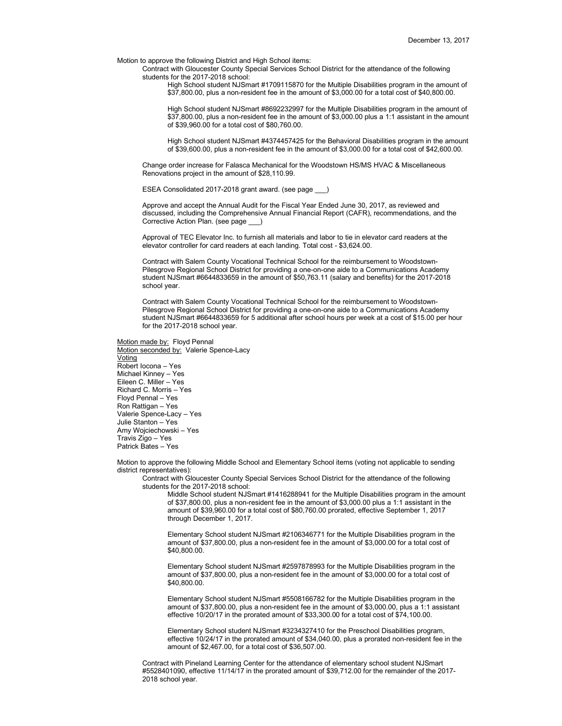Motion to approve the following District and High School items:

Contract with Gloucester County Special Services School District for the attendance of the following students for the 2017-2018 school:

High School student NJSmart #1709115870 for the Multiple Disabilities program in the amount of \$37,800.00, plus a non-resident fee in the amount of \$3,000.00 for a total cost of \$40,800.00.

High School student NJSmart #8692232997 for the Multiple Disabilities program in the amount of \$37,800.00, plus a non-resident fee in the amount of \$3,000.00 plus a 1:1 assistant in the amount of \$39,960.00 for a total cost of \$80,760.00.

High School student NJSmart #4374457425 for the Behavioral Disabilities program in the amount of \$39,600.00, plus a non-resident fee in the amount of \$3,000.00 for a total cost of \$42,600.00.

Change order increase for Falasca Mechanical for the Woodstown HS/MS HVAC & Miscellaneous Renovations project in the amount of \$28,110.99.

ESEA Consolidated 2017-2018 grant award. (see page \_\_\_)

Approve and accept the Annual Audit for the Fiscal Year Ended June 30, 2017, as reviewed and discussed, including the Comprehensive Annual Financial Report (CAFR), recommendations, and the Corrective Action Plan. (see page

Approval of TEC Elevator Inc. to furnish all materials and labor to tie in elevator card readers at the elevator controller for card readers at each landing. Total cost - \$3,624.00.

Contract with Salem County Vocational Technical School for the reimbursement to Woodstown-Pilesgrove Regional School District for providing a one-on-one aide to a Communications Academy student NJSmart #6644833659 in the amount of \$50,763.11 (salary and benefits) for the 2017-2018 school year.

Contract with Salem County Vocational Technical School for the reimbursement to Woodstown-Pilesgrove Regional School District for providing a one-on-one aide to a Communications Academy student NJSmart #6644833659 for 5 additional after school hours per week at a cost of \$15.00 per hour for the 2017-2018 school year.

Motion made by: Floyd Pennal Motion seconded by: Valerie Spence-Lacy Voting Robert Iocona – Yes Michael Kinney – Yes Eileen C. Miller – Yes Richard C. Morris – Yes Floyd Pennal – Yes Ron Rattigan – Yes Valerie Spence-Lacy – Yes Julie Stanton – Yes Amy Wojciechowski – Yes Travis Zigo – Yes Patrick Bates – Yes

Motion to approve the following Middle School and Elementary School items (voting not applicable to sending district representatives):

Contract with Gloucester County Special Services School District for the attendance of the following students for the 2017-2018 school:

Middle School student NJSmart #1416288941 for the Multiple Disabilities program in the amount of \$37,800.00, plus a non-resident fee in the amount of \$3,000.00 plus a 1:1 assistant in the amount of \$39,960.00 for a total cost of \$80,760.00 prorated, effective September 1, 2017 through December 1, 2017.

Elementary School student NJSmart #2106346771 for the Multiple Disabilities program in the amount of \$37,800.00, plus a non-resident fee in the amount of \$3,000.00 for a total cost of \$40,800.00.

Elementary School student NJSmart #2597878993 for the Multiple Disabilities program in the amount of \$37,800.00, plus a non-resident fee in the amount of \$3,000.00 for a total cost of \$40,800.00.

Elementary School student NJSmart #5508166782 for the Multiple Disabilities program in the amount of \$37,800.00, plus a non-resident fee in the amount of \$3,000.00, plus a 1:1 assistant effective 10/20/17 in the prorated amount of \$33,300.00 for a total cost of \$74,100.00.

Elementary School student NJSmart #3234327410 for the Preschool Disabilities program, effective 10/24/17 in the prorated amount of \$34,040.00, plus a prorated non-resident fee in the amount of \$2,467.00, for a total cost of \$36,507.00.

Contract with Pineland Learning Center for the attendance of elementary school student NJSmart #5528401090, effective 11/14/17 in the prorated amount of \$39,712.00 for the remainder of the 2017- 2018 school year.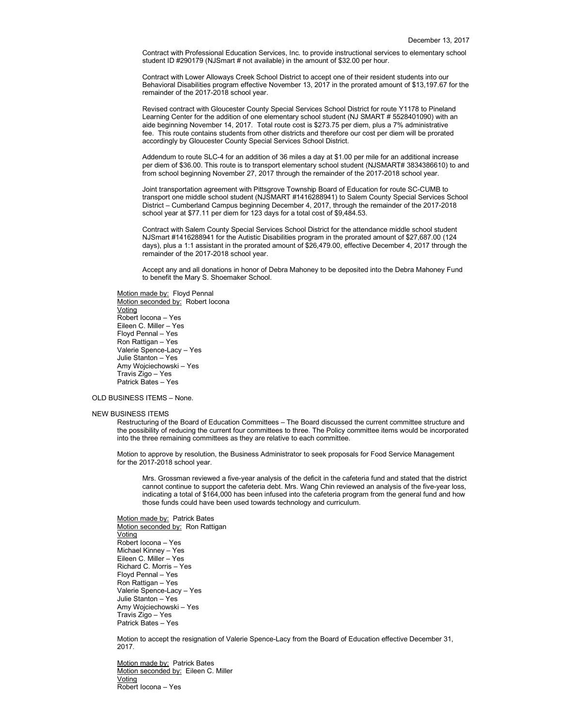Contract with Professional Education Services, Inc. to provide instructional services to elementary school student ID #290179 (NJSmart # not available) in the amount of \$32.00 per hour.

Contract with Lower Alloways Creek School District to accept one of their resident students into our Behavioral Disabilities program effective November 13, 2017 in the prorated amount of \$13,197.67 for the remainder of the 2017-2018 school year.

Revised contract with Gloucester County Special Services School District for route Y1178 to Pineland Learning Center for the addition of one elementary school student (NJ SMART # 5528401090) with an aide beginning November 14, 2017. Total route cost is \$273.75 per diem, plus a 7% administrative fee. This route contains students from other districts and therefore our cost per diem will be prorated accordingly by Gloucester County Special Services School District.

Addendum to route SLC-4 for an addition of 36 miles a day at \$1.00 per mile for an additional increase per diem of \$36.00. This route is to transport elementary school student (NJSMART# 3834386610) to and from school beginning November 27, 2017 through the remainder of the 2017-2018 school year.

Joint transportation agreement with Pittsgrove Township Board of Education for route SC-CUMB to transport one middle school student (NJSMART #1416288941) to Salem County Special Services School District – Cumberland Campus beginning December 4, 2017, through the remainder of the 2017-2018 school year at \$77.11 per diem for 123 days for a total cost of \$9,484.53.

Contract with Salem County Special Services School District for the attendance middle school student NJSmart #1416288941 for the Autistic Disabilities program in the prorated amount of \$27,687.00 (124 days), plus a 1:1 assistant in the prorated amount of \$26,479.00, effective December 4, 2017 through the remainder of the 2017-2018 school year.

Accept any and all donations in honor of Debra Mahoney to be deposited into the Debra Mahoney Fund to benefit the Mary S. Shoemaker School.

Motion made by: Floyd Pennal Motion seconded by: Robert locona Voting Robert Iocona – Yes Eileen C. Miller – Yes Floyd Pennal – Yes Ron Rattigan – Yes Valerie Spence-Lacy – Yes Julie Stanton – Yes Amy Wojciechowski – Yes Travis Zigo – Yes Patrick Bates – Yes

## OLD BUSINESS ITEMS – None.

### NEW BUSINESS ITEMS

Restructuring of the Board of Education Committees – The Board discussed the current committee structure and the possibility of reducing the current four committees to three. The Policy committee items would be incorporated into the three remaining committees as they are relative to each committee.

Motion to approve by resolution, the Business Administrator to seek proposals for Food Service Management for the 2017-2018 school year.

Mrs. Grossman reviewed a five-year analysis of the deficit in the cafeteria fund and stated that the district cannot continue to support the cafeteria debt. Mrs. Wang Chin reviewed an analysis of the five-year loss, indicating a total of \$164,000 has been infused into the cafeteria program from the general fund and how those funds could have been used towards technology and curriculum.

Motion made by: Patrick Bates Motion seconded by: Ron Rattigan Voting Robert Iocona – Yes Michael Kinney – Yes Eileen C. Miller – Yes Richard C. Morris – Yes Floyd Pennal – Yes Ron Rattigan – Yes Valerie Spence-Lacy – Yes Julie Stanton – Yes Amy Wojciechowski – Yes Travis Zigo – Yes Patrick Bates – Yes

Motion to accept the resignation of Valerie Spence-Lacy from the Board of Education effective December 31, 2017.

Motion made by: Patrick Bates Motion seconded by: Eileen C. Miller Voting Robert Iocona – Yes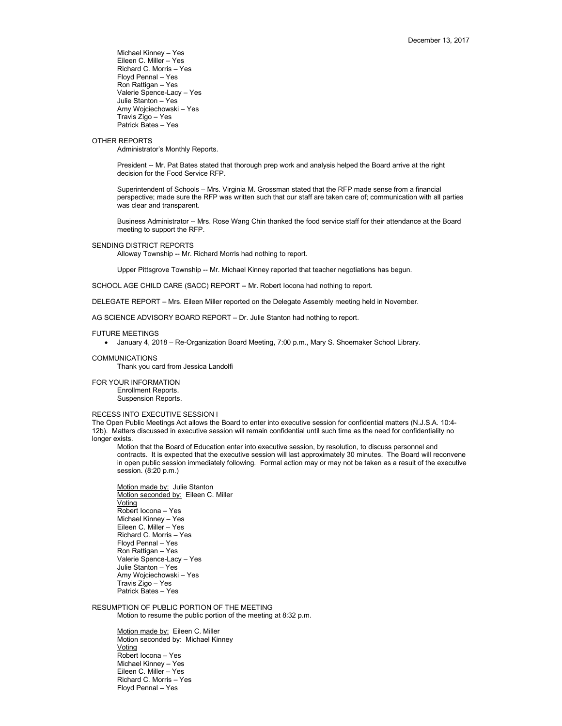Michael Kinney – Yes Eileen C. Miller – Yes Richard C. Morris – Yes Floyd Pennal – Yes Ron Rattigan – Yes Valerie Spence-Lacy – Yes Julie Stanton – Yes Amy Wojciechowski – Yes Travis Zigo – Yes Patrick Bates – Yes

## OTHER REPORTS

Administrator's Monthly Reports.

President -- Mr. Pat Bates stated that thorough prep work and analysis helped the Board arrive at the right decision for the Food Service RFP.

Superintendent of Schools – Mrs. Virginia M. Grossman stated that the RFP made sense from a financial perspective; made sure the RFP was written such that our staff are taken care of; communication with all parties was clear and transparent.

Business Administrator -- Mrs. Rose Wang Chin thanked the food service staff for their attendance at the Board meeting to support the RFP.

#### SENDING DISTRICT REPORTS

Alloway Township -- Mr. Richard Morris had nothing to report.

Upper Pittsgrove Township -- Mr. Michael Kinney reported that teacher negotiations has begun.

SCHOOL AGE CHILD CARE (SACC) REPORT -- Mr. Robert locona had nothing to report.

DELEGATE REPORT – Mrs. Eileen Miller reported on the Delegate Assembly meeting held in November.

AG SCIENCE ADVISORY BOARD REPORT – Dr. Julie Stanton had nothing to report.

# FUTURE MEETINGS

• January 4, 2018 – Re-Organization Board Meeting, 7:00 p.m., Mary S. Shoemaker School Library.

#### COMMUNICATIONS

Thank you card from Jessica Landolfi

FOR YOUR INFORMATION Enrollment Reports. Suspension Reports.

## RECESS INTO EXECUTIVE SESSION I

The Open Public Meetings Act allows the Board to enter into executive session for confidential matters (N.J.S.A. 10:4- 12b). Matters discussed in executive session will remain confidential until such time as the need for confidentiality no longer exists.

Motion that the Board of Education enter into executive session, by resolution, to discuss personnel and contracts. It is expected that the executive session will last approximately 30 minutes. The Board will reconvene in open public session immediately following. Formal action may or may not be taken as a result of the executive session. (8:20 p.m.)

Motion made by: Julie Stanton Motion seconded by: Eileen C. Miller Voting Robert Iocona – Yes Michael Kinney – Yes Eileen C. Miller – Yes Richard C. Morris – Yes Floyd Pennal – Yes Ron Rattigan – Yes Valerie Spence-Lacy – Yes Julie Stanton – Yes Amy Wojciechowski – Yes Travis Zigo – Yes Patrick Bates – Yes

RESUMPTION OF PUBLIC PORTION OF THE MEETING Motion to resume the public portion of the meeting at 8:32 p.m.

> Motion made by: Eileen C. Miller Motion seconded by: Michael Kinney **Voting** Robert Iocona – Yes Michael Kinney – Yes Eileen C. Miller – Yes Richard C. Morris – Yes Floyd Pennal – Yes